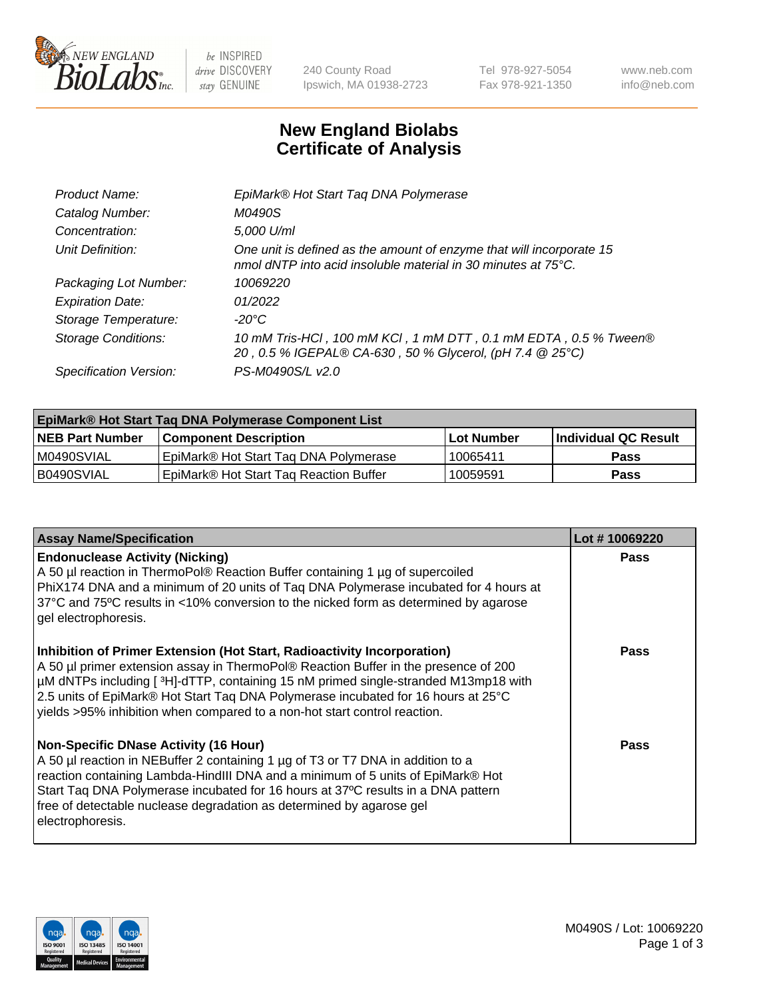

 $be$  INSPIRED drive DISCOVERY stay GENUINE

240 County Road Ipswich, MA 01938-2723 Tel 978-927-5054 Fax 978-921-1350 www.neb.com info@neb.com

## **New England Biolabs Certificate of Analysis**

| EpiMark® Hot Start Tag DNA Polymerase                                                                                                           |
|-------------------------------------------------------------------------------------------------------------------------------------------------|
| M0490S                                                                                                                                          |
| 5,000 U/ml                                                                                                                                      |
| One unit is defined as the amount of enzyme that will incorporate 15<br>nmol dNTP into acid insoluble material in 30 minutes at $75^{\circ}$ C. |
| 10069220                                                                                                                                        |
| 01/2022                                                                                                                                         |
| $-20^{\circ}$ C                                                                                                                                 |
| 10 mM Tris-HCl, 100 mM KCl, 1 mM DTT, 0.1 mM EDTA, 0.5 % Tween®<br>20, 0.5 % IGEPAL® CA-630, 50 % Glycerol, (pH 7.4 @ 25°C)                     |
| PS-M0490S/L v2.0                                                                                                                                |
|                                                                                                                                                 |

| <b>EpiMark® Hot Start Taq DNA Polymerase Component List</b> |                                                    |              |                      |  |  |
|-------------------------------------------------------------|----------------------------------------------------|--------------|----------------------|--|--|
| <b>NEB Part Number</b>                                      | <b>Component Description</b>                       | l Lot Number | Individual QC Result |  |  |
| IM0490SVIAL                                                 | EpiMark® Hot Start Tag DNA Polymerase              | 10065411     | <b>Pass</b>          |  |  |
| B0490SVIAL                                                  | EpiMark <sup>®</sup> Hot Start Tag Reaction Buffer | 10059591     | <b>Pass</b>          |  |  |

| <b>Assay Name/Specification</b>                                                                                                                                                                                                                                                                                                                                                                                        | Lot #10069220 |
|------------------------------------------------------------------------------------------------------------------------------------------------------------------------------------------------------------------------------------------------------------------------------------------------------------------------------------------------------------------------------------------------------------------------|---------------|
| <b>Endonuclease Activity (Nicking)</b><br>A 50 µl reaction in ThermoPol® Reaction Buffer containing 1 µg of supercoiled<br>PhiX174 DNA and a minimum of 20 units of Taq DNA Polymerase incubated for 4 hours at<br>37°C and 75°C results in <10% conversion to the nicked form as determined by agarose<br>gel electrophoresis.                                                                                        | Pass          |
| Inhibition of Primer Extension (Hot Start, Radioactivity Incorporation)<br>A 50 µl primer extension assay in ThermoPol® Reaction Buffer in the presence of 200<br>µM dNTPs including [3H]-dTTP, containing 15 nM primed single-stranded M13mp18 with<br>2.5 units of EpiMark® Hot Start Taq DNA Polymerase incubated for 16 hours at 25°C<br>yields >95% inhibition when compared to a non-hot start control reaction. | <b>Pass</b>   |
| <b>Non-Specific DNase Activity (16 Hour)</b><br>A 50 µl reaction in NEBuffer 2 containing 1 µg of T3 or T7 DNA in addition to a<br>reaction containing Lambda-HindIII DNA and a minimum of 5 units of EpiMark® Hot<br>Start Taq DNA Polymerase incubated for 16 hours at 37°C results in a DNA pattern<br>free of detectable nuclease degradation as determined by agarose gel<br>electrophoresis.                     | <b>Pass</b>   |

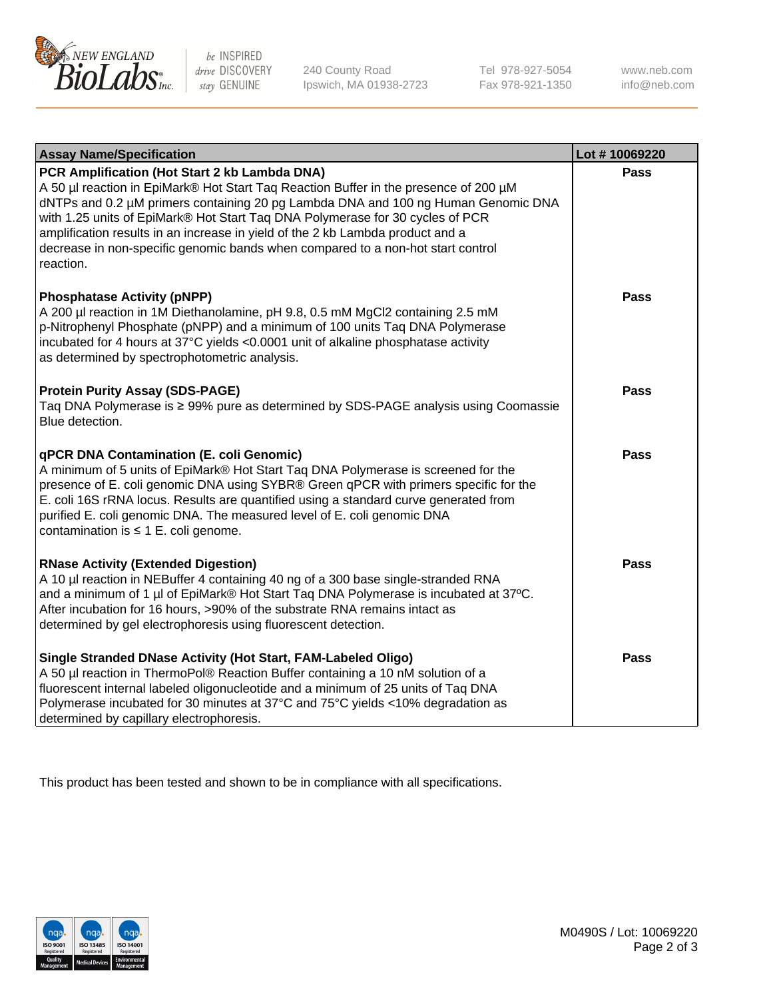

be INSPIRED drive DISCOVERY stay GENUINE

240 County Road Ipswich, MA 01938-2723 Tel 978-927-5054 Fax 978-921-1350 www.neb.com info@neb.com

| <b>Assay Name/Specification</b>                                                                                                                                                                                                                                                                                                                                                                                                                                                               | Lot #10069220 |
|-----------------------------------------------------------------------------------------------------------------------------------------------------------------------------------------------------------------------------------------------------------------------------------------------------------------------------------------------------------------------------------------------------------------------------------------------------------------------------------------------|---------------|
| PCR Amplification (Hot Start 2 kb Lambda DNA)<br>A 50 µl reaction in EpiMark® Hot Start Taq Reaction Buffer in the presence of 200 µM<br>dNTPs and 0.2 µM primers containing 20 pg Lambda DNA and 100 ng Human Genomic DNA<br>with 1.25 units of EpiMark® Hot Start Taq DNA Polymerase for 30 cycles of PCR<br>amplification results in an increase in yield of the 2 kb Lambda product and a<br>decrease in non-specific genomic bands when compared to a non-hot start control<br>reaction. | <b>Pass</b>   |
| <b>Phosphatase Activity (pNPP)</b><br>A 200 µl reaction in 1M Diethanolamine, pH 9.8, 0.5 mM MgCl2 containing 2.5 mM<br>p-Nitrophenyl Phosphate (pNPP) and a minimum of 100 units Taq DNA Polymerase<br>incubated for 4 hours at 37°C yields <0.0001 unit of alkaline phosphatase activity<br>as determined by spectrophotometric analysis.                                                                                                                                                   | Pass          |
| <b>Protein Purity Assay (SDS-PAGE)</b><br>Taq DNA Polymerase is ≥ 99% pure as determined by SDS-PAGE analysis using Coomassie<br>Blue detection.                                                                                                                                                                                                                                                                                                                                              | <b>Pass</b>   |
| <b>qPCR DNA Contamination (E. coli Genomic)</b><br>A minimum of 5 units of EpiMark® Hot Start Taq DNA Polymerase is screened for the<br>presence of E. coli genomic DNA using SYBR® Green qPCR with primers specific for the<br>E. coli 16S rRNA locus. Results are quantified using a standard curve generated from<br>purified E. coli genomic DNA. The measured level of E. coli genomic DNA<br>contamination is $\leq 1$ E. coli genome.                                                  | <b>Pass</b>   |
| <b>RNase Activity (Extended Digestion)</b><br>A 10 µl reaction in NEBuffer 4 containing 40 ng of a 300 base single-stranded RNA<br>and a minimum of 1 µl of EpiMark® Hot Start Taq DNA Polymerase is incubated at 37°C.<br>After incubation for 16 hours, >90% of the substrate RNA remains intact as<br>determined by gel electrophoresis using fluorescent detection.                                                                                                                       | <b>Pass</b>   |
| Single Stranded DNase Activity (Hot Start, FAM-Labeled Oligo)<br>A 50 µl reaction in ThermoPol® Reaction Buffer containing a 10 nM solution of a<br>fluorescent internal labeled oligonucleotide and a minimum of 25 units of Taq DNA<br>Polymerase incubated for 30 minutes at 37°C and 75°C yields <10% degradation as<br>determined by capillary electrophoresis.                                                                                                                          | <b>Pass</b>   |

This product has been tested and shown to be in compliance with all specifications.